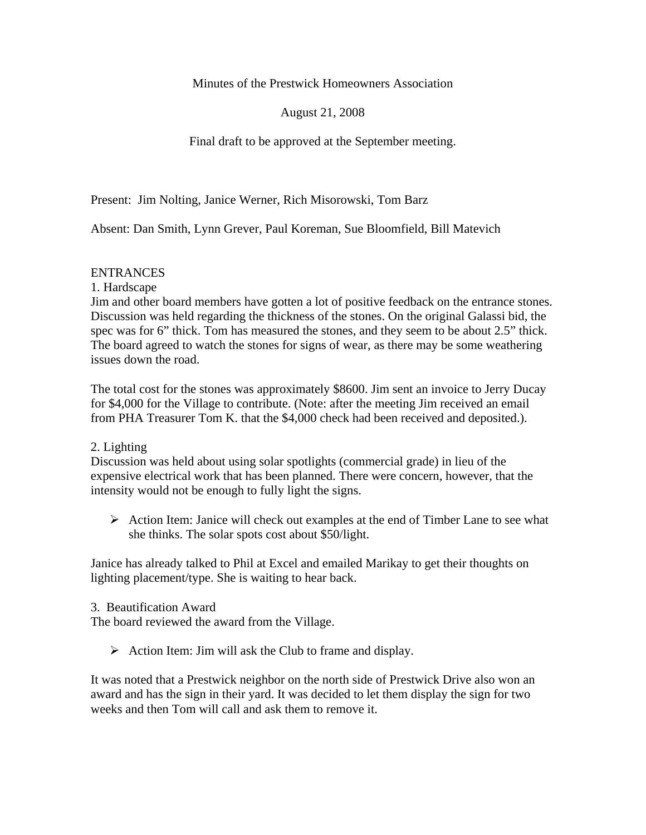Minutes of the Prestwick Homeowners Association

August 21, 2008

Final draft to be approved at the September meeting.

Present: Jim Nolting, Janice Werner, Rich Misorowski, Tom Barz

Absent: Dan Smith, Lynn Grever, Paul Koreman, Sue Bloomfield, Bill Matevich

# ENTRANCES

1. Hardscape

Jim and other board members have gotten a lot of positive feedback on the entrance stones. Discussion was held regarding the thickness of the stones. On the original Galassi bid, the spec was for 6" thick. Tom has measured the stones, and they seem to be about 2.5" thick. The board agreed to watch the stones for signs of wear, as there may be some weathering issues down the road.

The total cost for the stones was approximately \$8600. Jim sent an invoice to Jerry Ducay for \$4,000 for the Village to contribute. (Note: after the meeting Jim received an email from PHA Treasurer Tom K. that the \$4,000 check had been received and deposited.).

# 2. Lighting

Discussion was held about using solar spotlights (commercial grade) in lieu of the expensive electrical work that has been planned. There were concern, however, that the intensity would not be enough to fully light the signs.

 $\triangleright$  Action Item: Janice will check out examples at the end of Timber Lane to see what she thinks. The solar spots cost about \$50/light.

Janice has already talked to Phil at Excel and emailed Marikay to get their thoughts on lighting placement/type. She is waiting to hear back.

3. Beautification Award

The board reviewed the award from the Village.

 $\triangleright$  Action Item: Jim will ask the Club to frame and display.

It was noted that a Prestwick neighbor on the north side of Prestwick Drive also won an award and has the sign in their yard. It was decided to let them display the sign for two weeks and then Tom will call and ask them to remove it.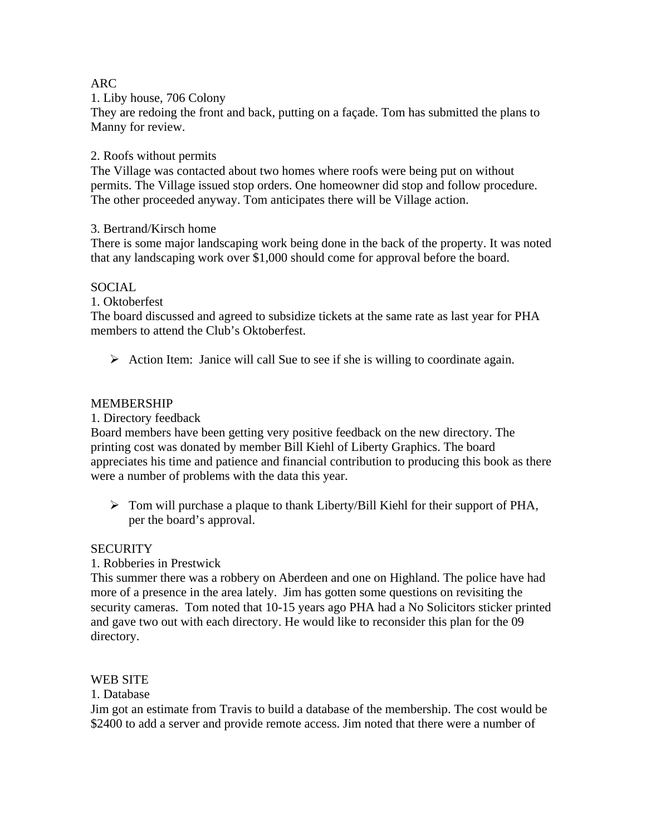## ARC

#### 1. Liby house, 706 Colony

They are redoing the front and back, putting on a façade. Tom has submitted the plans to Manny for review.

### 2. Roofs without permits

The Village was contacted about two homes where roofs were being put on without permits. The Village issued stop orders. One homeowner did stop and follow procedure. The other proceeded anyway. Tom anticipates there will be Village action.

## 3. Bertrand/Kirsch home

There is some major landscaping work being done in the back of the property. It was noted that any landscaping work over \$1,000 should come for approval before the board.

## SOCIAL

1. Oktoberfest

The board discussed and agreed to subsidize tickets at the same rate as last year for PHA members to attend the Club's Oktoberfest.

 $\triangleright$  Action Item: Janice will call Sue to see if she is willing to coordinate again.

#### MEMBERSHIP

1. Directory feedback

Board members have been getting very positive feedback on the new directory. The printing cost was donated by member Bill Kiehl of Liberty Graphics. The board appreciates his time and patience and financial contribution to producing this book as there were a number of problems with the data this year.

 $\triangleright$  Tom will purchase a plaque to thank Liberty/Bill Kiehl for their support of PHA, per the board's approval.

#### **SECURITY**

1. Robberies in Prestwick

This summer there was a robbery on Aberdeen and one on Highland. The police have had more of a presence in the area lately. Jim has gotten some questions on revisiting the security cameras. Tom noted that 10-15 years ago PHA had a No Solicitors sticker printed and gave two out with each directory. He would like to reconsider this plan for the 09 directory.

#### WEB SITE

#### 1. Database

Jim got an estimate from Travis to build a database of the membership. The cost would be \$2400 to add a server and provide remote access. Jim noted that there were a number of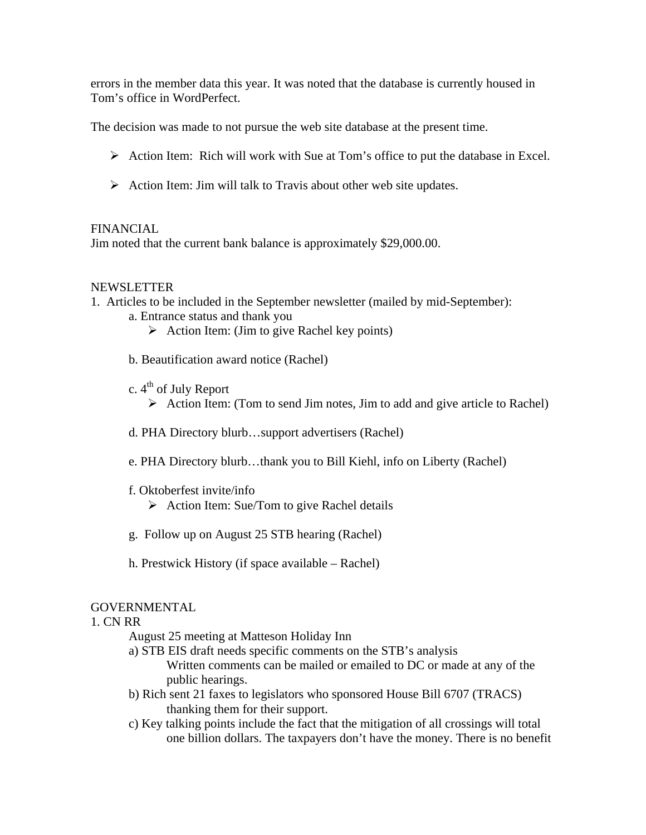errors in the member data this year. It was noted that the database is currently housed in Tom's office in WordPerfect.

The decision was made to not pursue the web site database at the present time.

- $\triangleright$  Action Item: Rich will work with Sue at Tom's office to put the database in Excel.
- $\triangleright$  Action Item: Jim will talk to Travis about other web site updates.

## FINANCIAL

Jim noted that the current bank balance is approximately \$29,000.00.

## NEWSLETTER

1. Articles to be included in the September newsletter (mailed by mid-September):

- a. Entrance status and thank you
	- $\triangleright$  Action Item: (Jim to give Rachel key points)
- b. Beautification award notice (Rachel)
- c.  $4<sup>th</sup>$  of July Report
	- $\triangleright$  Action Item: (Tom to send Jim notes, Jim to add and give article to Rachel)
- d. PHA Directory blurb…support advertisers (Rachel)
- e. PHA Directory blurb…thank you to Bill Kiehl, info on Liberty (Rachel)
- f. Oktoberfest invite/info
	- $\triangleright$  Action Item: Sue/Tom to give Rachel details
- g. Follow up on August 25 STB hearing (Rachel)
- h. Prestwick History (if space available Rachel)

# GOVERNMENTAL

#### 1. CN RR

August 25 meeting at Matteson Holiday Inn

- a) STB EIS draft needs specific comments on the STB's analysis Written comments can be mailed or emailed to DC or made at any of the public hearings.
- b) Rich sent 21 faxes to legislators who sponsored House Bill 6707 (TRACS) thanking them for their support.
- c) Key talking points include the fact that the mitigation of all crossings will total one billion dollars. The taxpayers don't have the money. There is no benefit